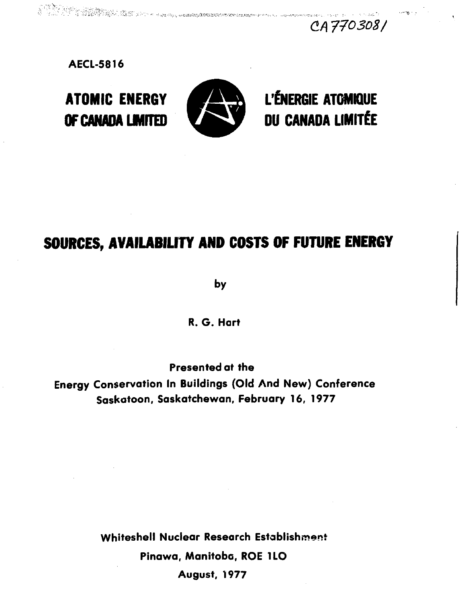770303/

**AECL-5816**



l a Stoke August.<br>1. de 1979 : Paul III (1979) e la Paul de la propieta del propieta del propieta del mandato de la composición

ATOMIC ENERGY **WjB&** L'ÉNERGIE ATOMIQUE OF CANADA LIMITED **Example 200 DU CANADA LIMITÉE** 

# **SOURCES, AVAILABILITY AND COSTS OF FUTURE ENERGY**

**by**

**R. G. Hart**

**Presented at the Energy Conservation In Buildings (Old And New) Conference Saskatoon, Saskatchewan, February 16, 1977**

> **Whiteshell Nuclear Research Establishment Pinawa, Manitoba, ROE 1LO**

**August, 1977**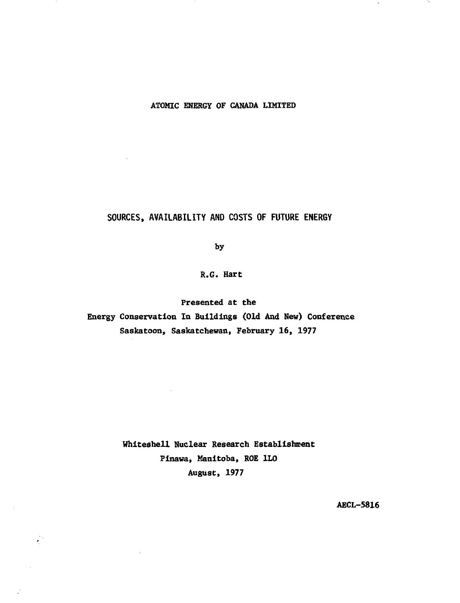# **ATOMIC ENERGY OF CANADA LIMITED**

# **SOURCES, AVAILABILITY AND COSTS OF FUTURE ENERGY**

 $\ddot{\phantom{a}}$ 

 $\chi^{\rm eff}$ 

 $\mathcal{L}$ 

**by**

# **R.G. Hart**

**Presented at the Energy Conservation In Buildings (Old And New) Conference Saskatoon, Saskatchewan, February 16, 1977**

> **Whlteshell Nuclear Research Establishment Pinawa, Manitoba, ROE 1LO August, 1977**

> > **AECL-5816**

 $\bar{u}$ 

۰.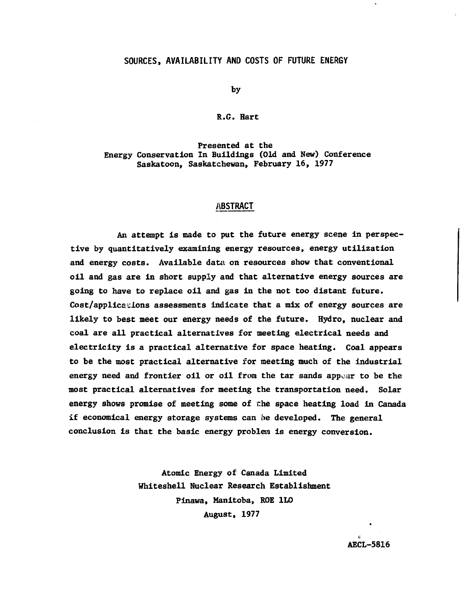#### **SOURCES, AVAILABILITY AND COSTS OF FUTURE ENERGY**

**by**

#### **R.6. Hart**

#### **Presented at the Energy Conservation In Buildings (Old and New) Conference Saskatoon, Saskatchewan, February 16, 1977**

#### **ABSTRACT**

**An attempt is made to put the future energy scene in perspective by quantitatively examining energy resources, energy utilization and energy costs. Available data on resources show that conventional oil and gas are in short supply and that alternative energy sources are going to have to replace oil and gas in the not too distant future. Cost/applications assessments indicate that a mix of energy sources are likely to best meet our energy needs of the future. Hydro, nuclear and coal are all practical alternatives for meeting electrical needs and electricity is a practical alternative for space heating. Coal appears to be the most practical alternative for meeting much of the industrial energy need and frontier oil or oil from the tar sands appear to be the most practical alternatives for meeting the transportation need. Solar energy shows promise of meeting some of the space heating load in Canada if economical energy storage systems can be developed. The general conclusion is that the basic energy problem is energy conversion.**

> **Atomic Energy of Canada Limited Whiteshell Nuclear Research Establishment Pinawa, Manitoba, ROE 1L0 August, 1977**

> > **AECL-5816**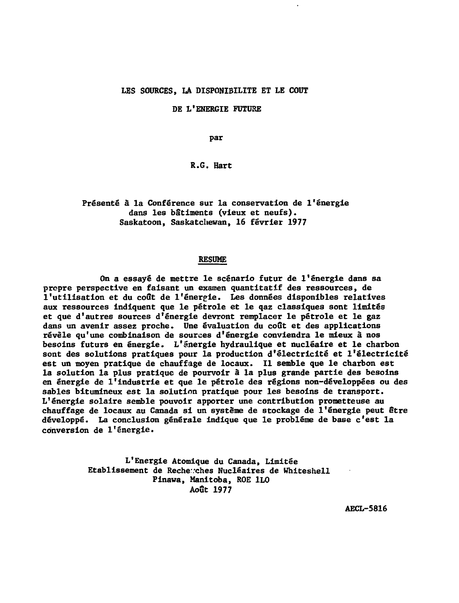#### **LES SOURCES, LA DISPONIBILITE ET LE COUT**

**DE L'ENERGIE FUTURE**

**par**

**R.6. Hart**

**Présenté à la Conférence sur la conservation de l'énergie dans les bâtiments (vieux et neufs). Saskatoon, Saskatchewan, 16 février 1977**

#### **RESUME**

**On a essayé de mettre le scénario futur de l'énergie dans sa propre perspective en faisant un examen quantitatif des ressources, de l'utilisation et du coût de l'énergie. Les données disponibles relatives aux ressources indiquent que le pétrole et le qaz classiques sont limités et que d'autres sources d'énergie devront remplacer le pétrole et le gaz dans un avenir assez proche. Une évaluation du coût et des applications révèle qu'une combinaison de sources d'énergie conviendra le mieux à nos besoins futurs en énergie. L'énergie hydraulique et nucléaire et le charbon sont des solutions pratiques pour la production d'électricité et l'électricité est un moyen pratique de chauffage de locaux. Il semble que le charbon est la solution la plus pratique de pourvoir à la plus grande partie des besoins en énergie de l'industrie et que le pétrole des régions non-développées ou des sables bitumineux est la solution pratique pour les besoins de transport. L'énergie solaire semble pouvoir apporter une contribution prometteuse au chauffage de locaux au Canada si un système de stockage de l'énergie peut être développé. La conclusion générale indique que le problème de base c'est la conversion de l'énergie.**

> **L'Energie Atomique du Canada, Limitée Etablissement de Recherches Nucléaires de Whiteshell Pinawa, Manitoba, ROE 1L0 Août 1977**

> > **AECL-5816**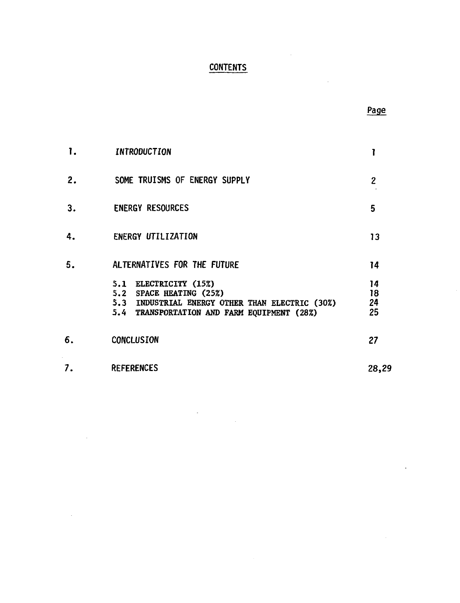# **CONTENTS**

|    |                                                                                                                                                    | Page                 |
|----|----------------------------------------------------------------------------------------------------------------------------------------------------|----------------------|
| 1. | INTRODUCTION                                                                                                                                       | 1                    |
| 2. | SOME TRUISMS OF ENERGY SUPPLY                                                                                                                      | $\overline{c}$       |
| 3. | <b>ENERGY RESOURCES</b>                                                                                                                            | 5                    |
| 4. | <b>ENERGY UTILIZATION</b>                                                                                                                          | 13                   |
| 5. | ALTERNATIVES FOR THE FUTURE                                                                                                                        | 14                   |
|    | 5.1 ELECTRICITY (15%)<br>5.2 SPACE HEATING (25%)<br>5.3 INDUSTRIAL ENERGY OTHER THAN ELECTRIC (30%)<br>5.4 TRANSPORTATION AND FARM EQUIPMENT (28%) | 14<br>18<br>24<br>25 |
| 6. | CONCLUSION                                                                                                                                         | 27                   |
| 7. | <b>REFERENCES</b>                                                                                                                                  | 28,29                |
|    |                                                                                                                                                    |                      |

 $\sim$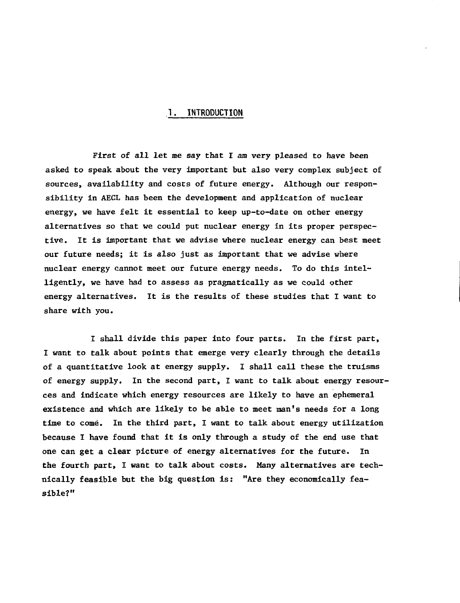## **1. INTRODUCTION**

First of all let me say that I am very pleased to have been asked to speak about the very important but also very complex subject of sources, availability and costs of future energy. Although our responsibility in AECL has been the development and application of nuclear energy, we have felt it essential to keep up-to-date on other energy alternatives so that we could put nuclear energy in its proper perspective. It is important that we advise where nuclear energy can best meet our future needs; it is also just as important that we advise where nuclear energy cannot meet our future energy needs. To do this intelligently, we have had to assess as pragmatically as we could other energy alternatives. It is the results of these studies that I want to share with you.

I shall divide this paper into four parts. In the first part, I want to talk about points that emerge very clearly through the details of a quantitative look at energy supply. I shall call these the truisms of energy supply. In the second part, I want to talk about energy resources and indicate which energy resources are likely to have an ephemeral existence and which are likely to be able to meet man's needs for a long time to come. In the third part, I want to talk about energy utilization because I have found that it is only through a study of the end use that one can get a clear picture of energy alternatives for the future. In the fourth part, I want to talk about costs. Many alternatives are technically feasible but the big question is: "Are they economically feasible?"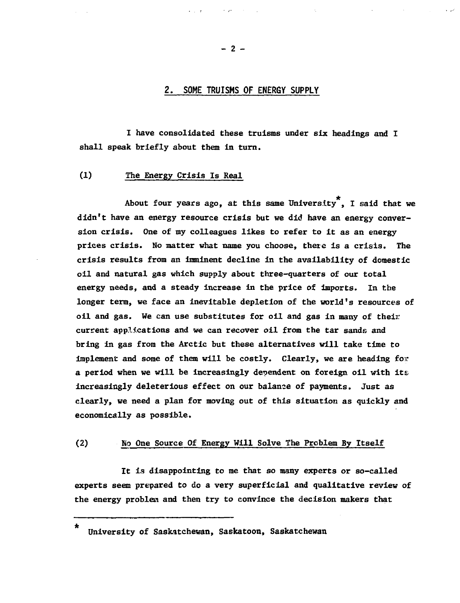# **2. SOME TRUISMS OF ENERGY SUPPLY**

**I have consolidated these truisms under six headings and I shall speak briefly about them in turn.**

**(1) The Energy Crisis Is Real**

**About four years ago, at this same University , I said that we didn't have an energy resource crisis but we did have an energy conversion crisis. One of my colleagues likes to refer to it as an energy prices crisis. No matter what name you choose, there is a crisis. The crisis results from an imminent decline in the availability of domestic oil and natural gas which supply about three-quarters of our total energy needs, and a steady increase in the price of imports. In the longer term, we face an inevitable depletion of the world's resources of oil and gas. We can use substitutes for oil and gas in many of their current applications and we can recover oil from the tar sands and bring in gas from the Arctic but these alternatives will take time to implement and some of them will be costly. Clearly, we are heading for a period when we will be increasingly dependent on foreign, oil with its increasingly deleterious effect on our balance of payments. Just as clearly, we need a plan for moving out of this situation as quickly and economically as possible.**

#### **(2) No One Source Of Energy Will Solve The Problem By Itself**

**It is disappointing to me that so many experts or so-called experts seem prepared to do a very superficial and qualitative review of the energy problem and then try to convince the decision makers that**

**— 2 —**

 $\star$ **University of Saskatchewan, Saskatoon, Saskatchewan**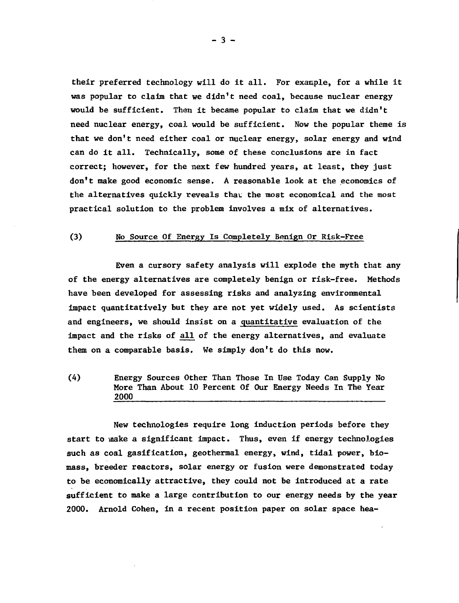their preferred technology will do it all. For example, for a while it was popular to claim that we didn't need coal, because nuclear energy would be sufficient. Then it became popular to claim that we didn't need nuclear energy, coal would be sufficient. Now the popular theme is that we don't need either coal or nuclear energy, solar energy and wind can do it all. Technically, some of these conclusions are in fact correct; however, for the next few hundred years, at least, they just don't make good economic sense. A reasonable look at the economics of the alternatives quickly reveals that the most economical and the most practical solution to the problem involves a mix of alternatives.

## (3) No Source Of Energy Is Completely Benign Or Risk-Free

Even a cursory safety analysis will explode the myth that any of the energy alternatives are completely benign or risk-free. Methods have been developed for assessing risks and analyzing environmental impact quantitatively but they are not yet widely used. As scientists and engineers, we should insist on a quantitative evaluation of the impact and the risks of all of the energy alternatives, and evaluate them on a comparable basis. We simply don't do this now.

(4) Energy Sources Other Than Those In Use Today Can Supply No More Than About 10 Percent Of Our Energy Needs In The Year 2000

New technologies require long induction periods before they start to make a significant impact. Thus, even if energy technologies such as coal gasification, geothermal energy, wind, tidal power, biomass, breeder reactors, solar energy or fusion were demonstrated today to be economically attractive, they could not be introduced at a rate sufficient to make a large contribution to our energy needs by the year 2000. Arnold Cohen, in a recent position paper on solar space hea-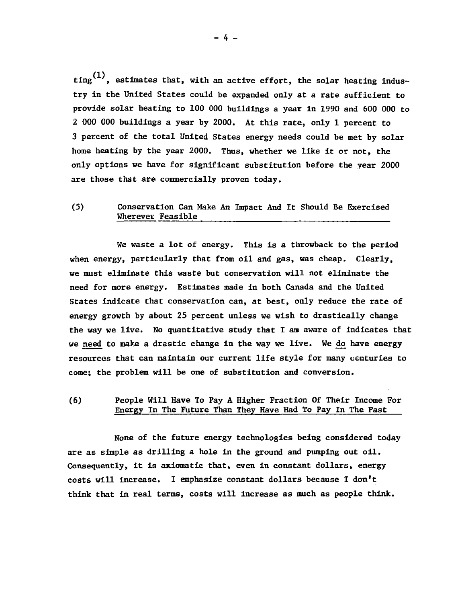ting<sup>(1)</sup>, estimates that, with an active effort, the solar heating industry in the United States could be expanded only at a rate sufficient to provide solar heating to 100 000 buildings a year in 1990 and 600 000 to 2 000 000 buildings a year by 2000. At this rate, only 1 percent to 3 percent of the total United States energy needs could be met by solar home heating by the year 2000. Thus, whether we like it or not, the only options we have for significant substitution before the year 2000 are those that are commercially proven today.

# (5) Conservation Can Make An Impact And It Should Be Exercised Wherever Feasible

We waste a lot of energy. This is a throwback to the period when energy, particularly that from oil and gas, was cheap. Clearly, we must eliminate this waste but conservation will not eliminate the need for more energy. Estimates made in both Canada and the United States indicate that conservation can, at best, only reduce the rate of energy growth by about 25 percent unless we wish to drastically change the way we live. No quantitative study that I am aware of indicates that we need to make a drastic change in the way we live. We do have energy resources that can maintain our current life style for many centuries to come; the problem will be one of substitution and conversion.

# (6) People Will Have To Pay A Higher Fraction Of Their Income For Energy In The Future Than They Have Had To Pay In The Past

None of the future energy technologies being considered today are as simple as drilling a hole in the ground and pumping out oil. Consequently, it is axiomatic that, even in constant dollars, energy costs will increase. I emphasize constant dollars because I don't think that in real terms, costs will increase as much as people think.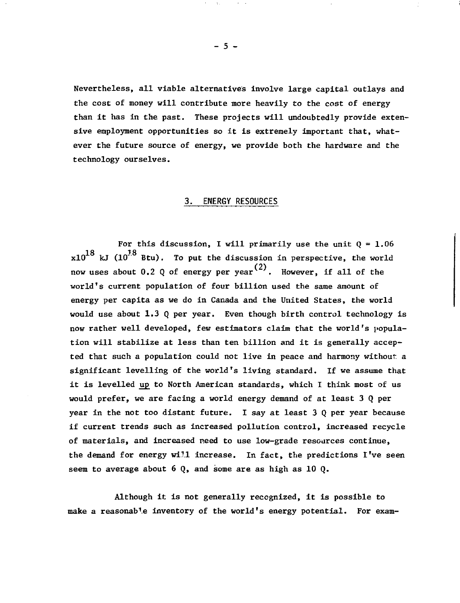Nevertheless, all viable alternatives involve large capital outlays and the cost of money will contribute more heavily to the cost of energy than it has in the past. These projects will undoubtedly provide extensive employment opportunities so it is extremely important that, whatever the future source of energy, we provide both the hardware and the technology ourselves.

#### **3. ENERGY RESOURCES**

For this discussion, I will primarily use the unit  $Q = 1.06$  $\mathrm{x10}^{18}$  kJ ( $\mathrm{10}^{18}$  Btu). To put the discussion in perspective, the world now uses about 0.2 Q of energy per year $^{(2)}$ . However, if all of the world's current population of four billion used the same amount of energy per capita as we do in Canada and the United States, the world would use about  $1.3$  Q per year. Even though birth control technology is now rather well developed, few estimators claim that the world's population will stabilize at less than ten billion and it is generally accepted that such a population could not live in peace and harmony without a significant levelling of the world's living standard. If we assume that it is levelled up to North American standards, which I think most of us would prefer, we are facing a world energy demand of at least 3 Q per year in the not too distant future. I say at least 3 Q per year because if current trends such as increased pollution control, increased recycle of materials, and increased need to use low-grade resources continue, the demand for energy will increase. In fact, the predictions I've seen seem to average about  $6$  Q, and some are as high as 10 Q.

Although it is not generally recognized, it is possible to make a reasonable inventory of the world's energy potential. For exam-

 $-5 -$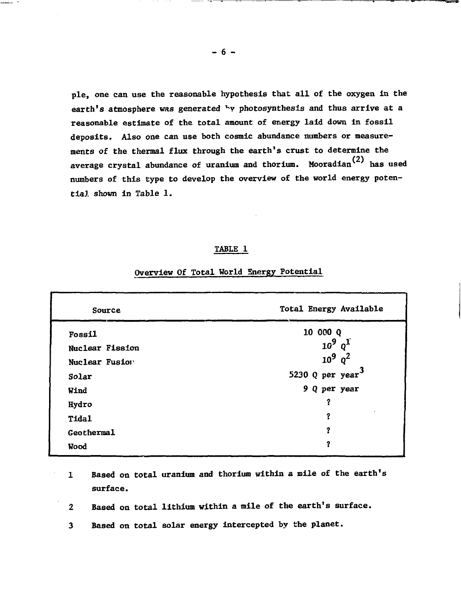**pie, one can use the reasonable hypothesis that all of the oxygen in the earth's atmosphere was generated <sup>v</sup>y photosynthesis and thus arrive at a reasonable estimate of the total amount of energy laid down in fossil deposits. Also one can use both cosmic abundance numbers or measurements of the thermal flux through the earth's crust to determine the** average crystal abundance of uranium and thorium. Mooradian<sup>(2)</sup> has used **numbers of this type to develop the overview of the world energy potential shown in Table 1.**

#### **TABLE 1**

# **Overview Of Total World Snergy Potential**

| Source          | Total Energy Available |  |
|-----------------|------------------------|--|
| <b>Fossil</b>   | 10 000 Q               |  |
| Nuclear Fission | $10^9$ $q^1$           |  |
| Nuclear Fusion  | $10^9$ $q^2$           |  |
| Solar           | 5230 Q per year $^3$   |  |
| Wind            | 9 Q per year           |  |
| Hydro           | ?                      |  |
| <b>Tidal</b>    | ?                      |  |
| Geothermal      | 2                      |  |
| Wood            | ?                      |  |

- **1 Based on total uranium and thorium within a mile of the earth's surface.**
- **2 Based on total lithium within a mile of the earth's surface.**
- **3 Based on total solar energy intercepted by the planet.**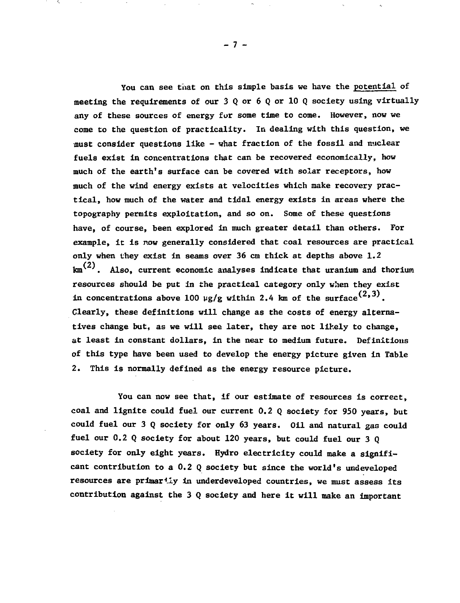**You can see that on this simple basis we have the potential of meeting the requirements of our 3 Q or 6 Q or 10 Q society using virtually any of these sources of energy for some time to come. However, now we come to the question of practicality. In dealing with this question, we must consider questions like - what fraction of the fossil and nuclear fuels exist in concentrations that can be recovered economically, how much of the earth's surface can be covered with solar receptors, how much of the wind energy exists at velocities which make recovery practical, how much of the water and tidal energy exists in areas where the topography permits exploitation, and so on. Some of these questions have, of course, been explored in much greater detail than others. For example, it is now generally considered that coal resources are practical only when they exist in seams over 36 cm thick at depths above 1.2**  $\mathrm{km}^{(2)}$ . Also, current economic analyses indicate that uranium and thorium **resources should be put in the practical category only when they exist in concentrations above 100**  $\mu$ **g/g within 2.4 km of the surface** $^{(2,3)}$ **. Clearly, these definitions will change as the costs of energy alternatives change but, as we will see later, they are not likely to change, at least in constant dollars, in the near to medium future. Definitions of this type have been used to develop the energy picture given in Table 2. This is normally defined as the energy resource picture.**

**You can now see that, if our estimate of resources is correct, coal and lignite could fuel our current 0.2 Q society for 950 years, but could fuel our 3 Q society for only 63 years. Oil and natural gas could fuel our 0.2 Q society for about 120 years, but could fuel our 3 Q society for only eight years. Hydro electricity could make a significant contribution to a 0.2 Q society but since the world's undeveloped resources are primarily in underdeveloped countries, we must assess its contribution against the 3 Q society and here it will make an important**

- 7 -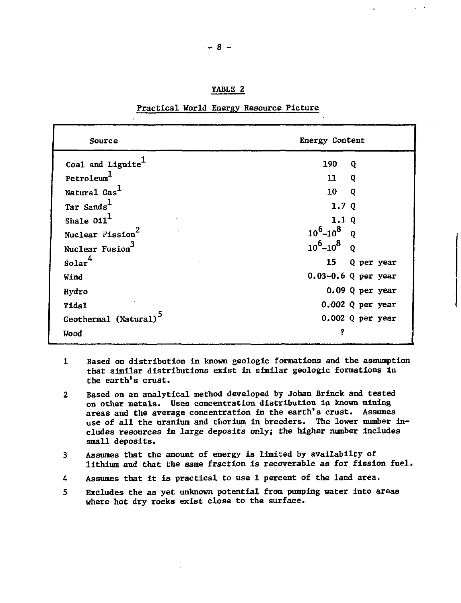| . | r<br>4 BZ<br>н. |  |
|---|-----------------|--|
|   |                 |  |

| Source                            | Energy Content                |
|-----------------------------------|-------------------------------|
| Coal and Lignite                  | 190<br>Q                      |
| Petroleum <sup>1</sup>            | 11<br>Q                       |
| Natural Gas <sup>1</sup>          | 10<br>Q                       |
| Tar Sands <sup>1</sup>            | 1.7 $Q$                       |
| Shale $011^1$                     | 1.1Q                          |
| Nuclear Fission <sup>2</sup>      | $10^6 - 10^8$ Q               |
| Nuclear Fusion                    | $10^6 - 10^8$<br>$\mathbf{o}$ |
| solar <sup>4</sup>                | 15<br>Q per year              |
| Wind                              | $0.03 - 0.6$ Q per year       |
| Hydro                             | $0.09$ Q per year             |
| Tida1                             | $0.002$ Q per year            |
| Geothermal (Natural) <sup>3</sup> | $0.002$ Q per year            |
| Wood                              |                               |

Practical World Energy Resource Picture

- 1 Based on distribution in known geologic formations and the assumption that similar distributions exist in similar geologic formations in the earth's crust.
- 2 Based on an analytical method developed by Johan Brinck and tested on other metals. Uses concentration distribution in known mining areas and the average concentration in the earth's crust. Assumes use of all the uranium and thorium in breeders. The lower number includes resources in large deposits only; the higher number includes small deposits.
- 3 Assumes that the amount of energy is limited by availabilty of lithium and that the same fraction is recoverable as for fission fuel.
- 4 Assumes that it is practical to use 1 percent of the land area.
- 5 Excludes the as yet unknown potential from pumping water into areas where hot dry rocks exist close to the surface.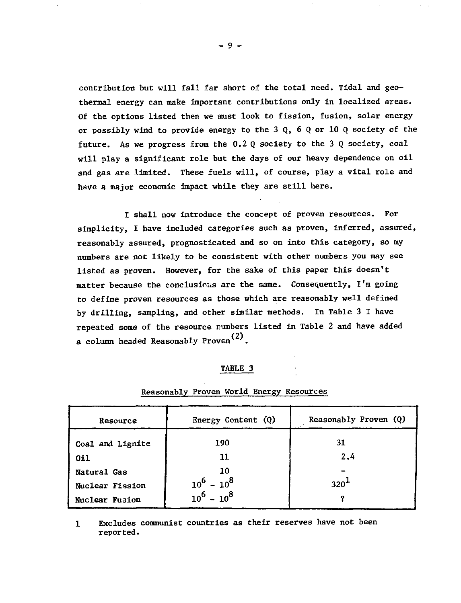contribution but will fall far short of the total need. Tidal and geothermal energy can make important contributions only in localized areas. Of the options listed then we must look to fission, fusion, solar energy or possibly wind to provide energy to the 3 Q, 6 Q or 10 Q society of the future. As we progress from the 0.2 Q society to the 3 Q society, coal will play a significant role but the days of our heavy dependence on oil and gas are limited. These fuels will, of course, play a vital role and have a major economic impact while they are still here.

I shall now introduce the concept of proven resources. For simplicity, I have included categories such as proven, inferred, assured, reasonably assured, prognosticated and so on into this category, so my numbers are not likely to be consistent with other numbers you may see listed as proven. However, for the sake of this paper this doesn't matter because the conclusions are the same. Consequently, I'm going to define proven resources as those which are reasonably well defined by drilling, sampling, and other similar methods. In Table 3 I have repeated some of the resource numbers listed in Table 2 and have added a column headed Reasonably Proven $^{(2)}$ .

#### TABLE 3

| Resource         | Energy Content (Q) | Reasonably Proven (Q) |
|------------------|--------------------|-----------------------|
| Coal and Lignite | 190                | 31                    |
| 011              | 11                 | 2.4                   |
| Natural Gas      | 10                 |                       |
| Nuclear Fission  | $10^6 - 10^8$      | 320 <sup>4</sup>      |
| Nuclear Fusion   | $10^6 - 10^8$      |                       |

#### Reasonably Proven World Energy Resources

Excludes communist countries as their reserves have not been  $\mathbf{1}$ reported.

 $-9 -$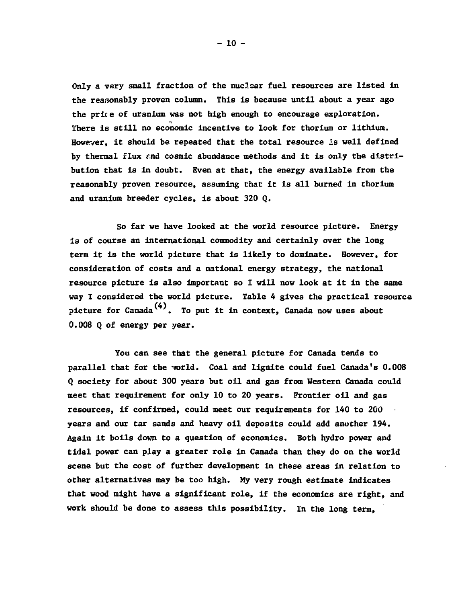**Only a very small fraction of the nuclear fuel resources are listed In the reasonably proven column. This is because until about a year ago the price of uranium was not high enough to encourage exploration. There is still no economic incentive to look for thorium or lithium. However, it should be repeated that the total resource is well defined** by thermal flux and cosmic abundance methods and it is only the distri**bution that is in doubt. Even at that, the energy available from the reasonably proven resource, assuming that it is all burned in thorium and uranium breeder cycles, is about 320 Q.**

**So far we have looked at the world resource picture. Energy is of course an international commodity and certainly over the long term it is the world picture that is likely to dominate. However, for consideration of costs and a national energy strategy, the national resource picture is also important so I will now look at it in the same way I considered the world picture. Table 4 gives the practical resource picture for Canada . To ] (4) picture for Canada . To put it in context, Canada now uses about 0.008 Q of energy per year.**

**You can see that the general picture for Canada tends to** parallel that for the yorld. Coal and lignite could fuel Canada's 0.008 **Q society for about 300 years but oil and gas from Western Canada could meet that requirement for only 10 to 20 years. Frontier oil and gas resources, if confirmed, could meet our requirements for 140 to 200 years and our tar sands and heavy oil deposits could add another 194. Again it boils down to a question of economics. Both hydro power and tidal power can play a greater role in Canada than they do on the world scene but the cost of further development in these areas in relation to other alternatives may be too high. Hy very rough estimate indicates that wood might have a significant role, if the economics are right, and work should be done to assess this possibility. In the long term,**

**- 10 -**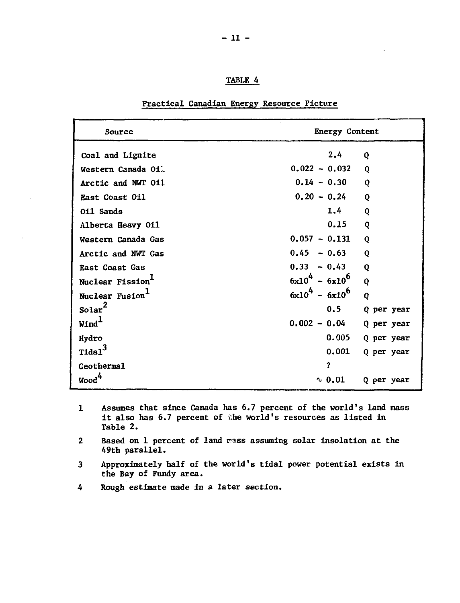| "ABL<br>. . |  |
|-------------|--|
|             |  |

| Source                       | <b>Energy Content</b> |            |
|------------------------------|-----------------------|------------|
| Coal and Lignite             | 2.4                   | Q          |
| Western Canada Oil           | $0.022 - 0.032$       | Q          |
| Arctic and NWT 011           | $0.14 - 0.30$         | Q          |
| East Coast 011               | $0.20 - 0.24$         | Q          |
| 011 Sands                    | 1.4                   | Q          |
| Alberta Heavy Oil            | 0.15                  | Q          |
| Western Canada Gas           | $0.057 - 0.131$       | Q          |
| Arctic and NWT Gas           | $0.45 - 0.63$         | Q          |
| East Coast Gas               | $0.33 - 0.43$         | Q          |
| Nuclear Fission <sup>1</sup> | $6x10^{4} - 6x10^{6}$ | Q          |
| Nuclear Fusion <sup>1</sup>  | $6x10^{4} - 6x10^{6}$ | Q          |
| Solar <sup>2</sup>           | 0.5                   | Q per year |
| $\mathtt{WInd}^\mathsf{L}$   | $0.002 - 0.04$        | Q per year |
| Hydro                        | 0.005                 | Q per year |
| $\texttt{Tidal}^3$           | 0.001                 | Q per year |
| Geothermal                   | ?                     |            |
| Wood <sup>4</sup>            | $\sim 0.01$           | Q per year |

#### **Practical Canadian Energy Resource Picture**

- **1 Assumes that since Canada has 6.7 percent of the world's land mass it also has 6.7 percent of she world's resources as listed in Table 2.**
- 2 Based on 1 percent of land **rass assuming solar insolation at the 49th parallel.**
- **3 Approximately half of the world's tidal power potential exists in the Bay of Fundy area.**
- **4 Rough estimate made in a later section.**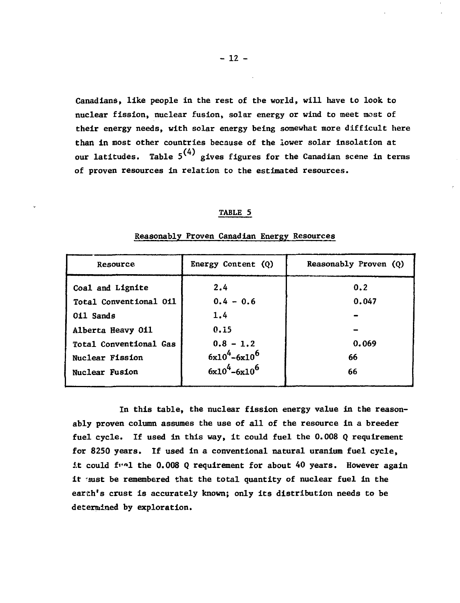**Canadians, like people in the rest of the world, will have to look to nuclear fission, nuclear fusion, solar energy or wind to meet most of their energy needs, with solar energy being somewhat more difficult here than in most other countries because of the lower solar insolation at** our latitudes. Table  $5^{(4)}$  gives figures for the Canadian scene in terms of proven resources in relation to the estimated resources.

#### **TABLE 5**

| Resource               | Energy Content $(Q)$ | Reasonably Proven (Q) |
|------------------------|----------------------|-----------------------|
| Coal and Lignite       | 2.4                  | 0.2                   |
| Total Conventional Oil | $0.4 - 0.6$          | 0.047                 |
| 011 Sands              | 1.4                  |                       |
| Alberta Heavy 011      | 0.15                 |                       |
| Total Conventional Gas | $0.8 - 1.2$          | 0.069                 |
| Nuclear Fission        | $6x10^4 - 6x10^6$    | 66                    |
| Nuclear Fusion         | $6x10^4 - 6x10^6$    | 66                    |

#### **Reasonably Proven Canadian Energy Resources**

**In this table, the nuclear fission energy value in the reasonably proven column assumes the use of all of the resource in a breeder fuel cycle. If used in this way, it could fuel the 0.008 Q requirement for 8250 years. If used in a conventional natural uranium fuel cycle, At could fi'^1 the 0.008 Q requirement for about 40 years. However again** it aust be remembered that the total quantity of nuclear fuel in the **earth's crust is accurately known; only its distribution needs to be determined by exploration.**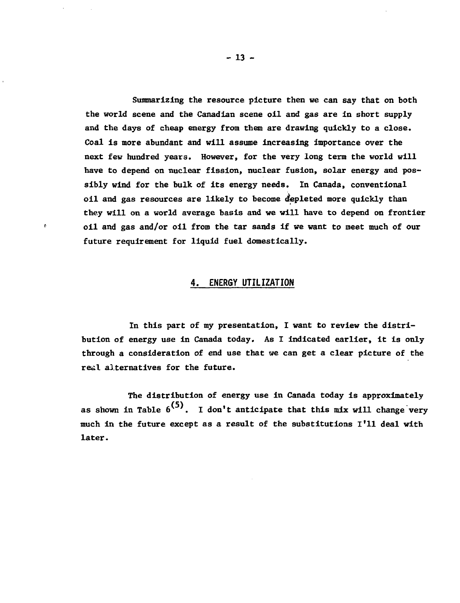**Summarizing the resource picture then we can say that on both the world scene and the Canadian scene oil and gas are in short supply and the days of cheap energy from them are drawing quickly to a close. Coal is more abundant and will assume increasing importance over the next few hundred years. However, for the very long term the world will have to depend on nuclear fission, nuclear fusion, solar energy and possibly wind for the bulk of its energy needs. In Canada, conventional oil and gas resources are likely to become depleted more quickly than they will on a world average basis and we will have to depend on frontier oil and gas and/or oil from the tar sands if we want to meet much of our future requirement for liquid fuel domestically.**

#### **4. ENERGY UTILIZATION**

ó

**In this part of my presentation, I want to review the distribution of energy use in Canada today. As I indicated earlier, it is only through a consideration of end use that we can get a clear picture of the real alternatives for the future.**

**The distribution of energy use in Canada today is approximately** as shown in Table  $6^{(5)}$ . I don't anticipate that this mix will change very **much in the future except as a result of the substitutions I'll deal with later.**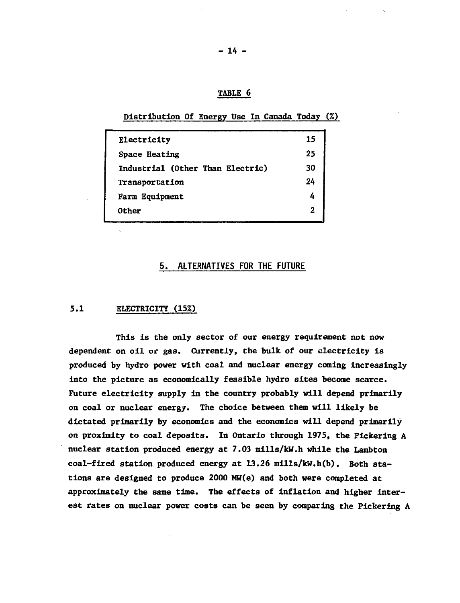# **TABLE 6**

# **Distribution Of Energy Use In Canada Today (%)**

| Electricity                      | 15             |
|----------------------------------|----------------|
| Space Heating                    | 25             |
| Industrial (Other Than Electric) | 30             |
| Transportation                   | 24             |
| Farm Equipment                   |                |
| Other                            | $\overline{2}$ |
|                                  |                |

# **5. ALTERNATIVES FOR THE FUTURE**

#### **5.1 ELECTRICITY (15%)**

 $\ddot{\phantom{1}}$ 

**This is the only sector of our energy requirement not now dependent on oil or gas. Currently, the bulk of our electricity is produced by hydro power with coal and nuclear energy coming increasingly into the picture as economically feasible hydro sites become scarce. Future electricity supply in the country probably will depend primarily on coal or nuclear energy. The choice between them will likely be dictated primarily by economics and the economics will depend primarily on proximity to coal deposits. In Ontario through 1975, the Pickering A nuclear station produced energy at 7.03 mills/kW.h while the Lambton coal-fired station produced energy at 13.26 mills/kW.h(b). Both stations are designed to produce 2000 MW(e) and both were completed at approximately the same time. The effects of inflation and higher interest rates on nuclear power costs can be seen by comparing the Pickering A**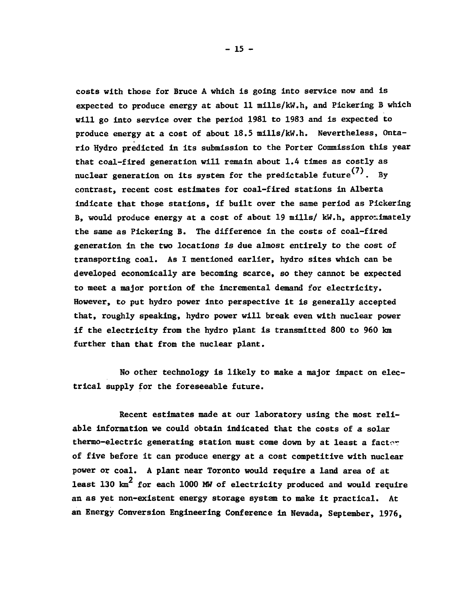**costs with those for Bruce A which is going into service now and is expected to produce energy at about 11 mills/kW.h, and Pickering B which will go into service over the period 1981 to 1983 and is expected to produce energy at a cost of about 18.5 mills/kW.h. Nevertheless, Ontario Hydro predicted in its submission to the Porter Commission this year that coal-fired generation will remain about 1.4 times as costly as** nuclear generation on its system for the predictable future<sup>(7)</sup>. Bv **contrast, recent cost estimates for coal-fired stations in Alberta indicate that those stations, if built over the same period as Pickering B, would produce energy at a cost of about 19 mills/ kW.h, approximately the same as Pickering B. The difference in the costs of coal-fired generation in the two locations is due almost entirely to the cost of transporting coal. As I mentioned earlier, hydro sites which can be developed economically are becoming scarce, so they cannot be expected to meet a major portion of the incremental demand for electricity. However, to put hydro power into perspective it is generally accepted that, roughly speaking, hydro power will break even with nuclear power if the electricity from the hydro plant is transmitted 800 to 960 km further than that from the nuclear plant.**

**No other technology is likely to make a major impact on electrical supply for the foreseeable future.**

**Recent estimates made at our laboratory using the most reliable information we could obtain indicated that the costs of a solar** thermo-electric generating station must come down by at least a factor **of five before it can produce energy at a cost competitive with nuclear power or coal. A plant near Toronto would require a land area of at least 130 km<sup>2</sup> for each 1000 MW of electricity produced and would require an as yet non-existent energy storage system to make it practical. At an Energy Conversion Engineering Conference in Nevada, September, 1976,**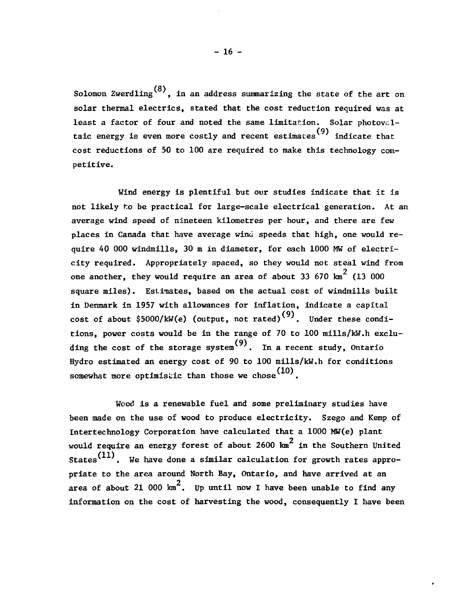Solomon Zwerdling  $(8)$ , in an address summarizing the state of the art on solar thermal electrics, stated that the cost reduction required was at least a factor of four and noted the same limitation. Solar photovcl taic energy is even more costly and recent estimates<sup>(9)</sup> indicate that cost reductions of 50 to 100 are required to make this technology competitive.

Wind energy is plentiful but our studies indicate that it is not likely r.o be practical for large-scale electrical generation. At an average wind speed of nineteen kilometres per hour, and there are few places in Canada that have average wind speeds that high, one would require 40 000 windmills, 30 m in diameter, for each 1000 MW of electricity required. Appropriately spaced, so they would not steal wind from one another, they would require an area of about 33 670  $\text{km}^2$  (13 000 square miles). Estimates, based on the actual cost of windmills built in Denmark in 1957 with allowances for inflation, indicate a capital cost of about \$5000/kW(e) (output, not rated)<sup>(9)</sup>. Under these conditions, power costs would be in the range of 70 to 100 mills/kW.h exclutions, power costs would be in the range of  $(9)$  to 100 mills/kw.h exclusively contributed be in the range of  $(9)$ Hydro estimated an energy cost of 90 to 100 mills/kW.h for conditions somewhat more optimistic than those we chose  $(10)$ .

Wood is a renewable fuel and some preliminary studies have been made on the use of wood to produce electricity. Szego and Kemp of Intertechnology Corporation have calculated that a 1000 MW(e) plant would require an energy forest of about 2600  $\tan^2$  in the Southern United States<sup>(11)</sup>. We have done a similar calculation for growth rates appropriate to the area around North Bay, Ontario, and have arrived at an .<br>area of about 21 000 km<sup>2</sup>. Up until now I have been unable to find any information on the cost of harvesting the wood, consequently I have been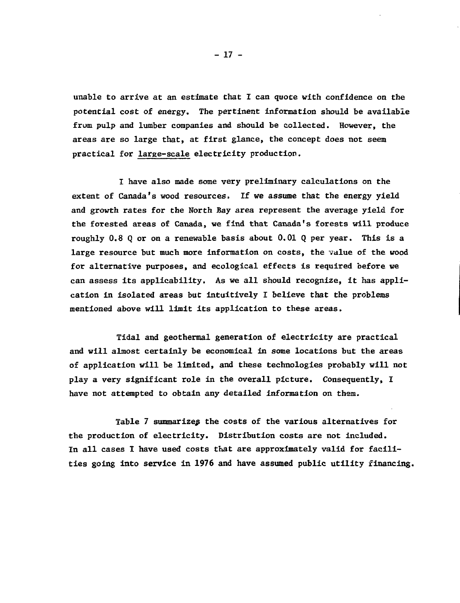unable to arrive at an estimate that I can quote with confidence on the potential cost of energy. The pertinent information should be available from pulp and lumber companies and should be collected. However, the areas are so large that, at first glance, the concept does not seem practical for large-scale electricity production.

I have also made some very preliminary calculations on the extent of Canada's wood resources, If we assume that the energy yield and growth rates for the North Bay area represent the average yield for the forested areas of Canada, we find that Canada's forests will produce roughly 0.8 Q or on a renewable basis about 0.01 Q per year. This is a large resource but much more information on costs, the value of the wood for alternative purposes, and ecological effects is required before we can assess its applicability. As we all should recognize, it has application in isolated areas but intuitively I believe that the problems mentioned above will limit its application to these areas.

Tidal and geothermal generation of electricity are practical and will almost certainly be economical in some locations but the areas of application will be limited, and these technologies probably will not play a very significant role in the overall picture. Consequently, I have not attempted to obtain any detailed information on them.

Table 7 summarizes the costs of the various alternatives for the production of electricity. Distribution costs are not included. In all cases I have used costs that are approximately valid for facilities going into service in 1976 and have assumed public utility financing.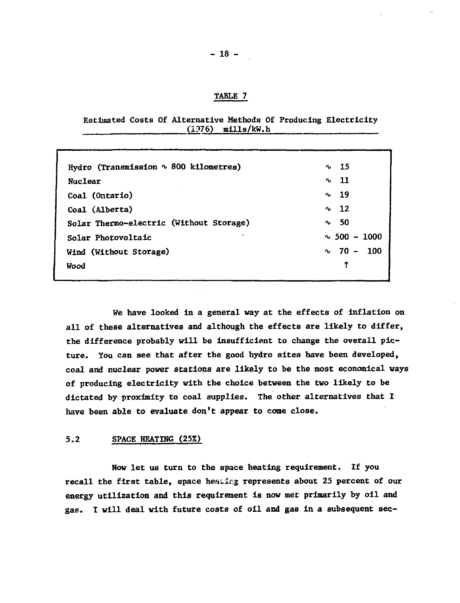#### **TABLE 7**

#### **Estimated Costs Of Alternative Methods Of Producing Electricity (1?76) mills/kW.h**

| Hydro (Transmission ~ 800 kilometres)   | $\sim$ 15         |
|-----------------------------------------|-------------------|
| Nuclear                                 | - 11<br>$\sim$    |
| Coal (Ontario)                          | $\sim$ 19         |
| Coal (Alberta)                          | $\sim$ 12         |
| Solar Thermo-electric (Without Storage) | - 50<br>n,        |
| ٠<br>Solar Photovoltaic                 | $\sim$ 500 - 1000 |
| Wind (Without Storage)                  | $\sim 70 - 100$   |
| Wood                                    | ?                 |
|                                         |                   |

**We have looked in a general way at the effects of inflation on all of these alternatives and although the effects are likely to differ, the difference probably will be insufficient to change the overall picture. You can see that after the good hydro sites have been developed, coal and nuclear power stations are likely to be the most economical ways of producing electricity with the choice between the two likely to be dictated by proximity to coal supplies. The other alternatives that I have been able to evaluate don't appear to come close.**

#### **5.2 SPACE HEATING (25%)**

**Now let us turn to the space heating requirement. If you recall the first table, space heating represents about 25 percent of our energy utilization and this requirement is now met primarily by oil and gas. I will deal with future costs of oil and gas in a subsequent sec-**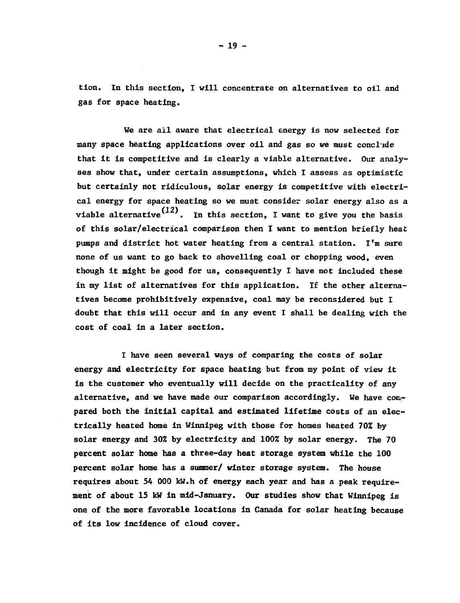**tion. In this section, I will concentrate on alternatives to oil and gas for space heating.**

**We are all aware that electrical energy is now selected for many space heating applications over oil and gas so we must conclude that it is competitive and is clearly a viable alternative. Our analyses show that, under certain assumptions, which I assess as optimistic but certainly not ridiculous, solar energy is competitive with electrical energy for space heating so we must consider solar energy also as a** viable alternative<sup>(12)</sup>. In this section, I want to give you the basis **of this solar/electrical comparison then I want to mention briefly heat pumps and district hot water heating from a central station. I'm sure none of us want to go back to shovelling coal or chopping wood, even though it might be good for us, consequently I have not included these in my list of alternatives for this application. If the other alternatives become prohibitively expensive, coal may be reconsidered but I doubt that this will occur and in any event I shall be dealing with the cost of coal in a later section.**

**I have seen several ways of comparing the costs of solar energy and electricity for space heating but from my point of view it is the customer who eventually will decide on the practicality of any alternative, and we have made our comparison accordingly. We have compared both the initial capital and estimated lifetime costs of an electrically heated home in Winnipeg with those for homes heated 70% by solar energy and 30% by electricity and 100% by solar energy. The 70 percent solar home has a three-day heat storage system while the 100 percent solar home has a summer/ winter storage system. The house requires about 54 000 kW.h of energy each year and has a peak requirement of about 15 kW in mid-January. Our studies show that Winnipeg is one of the more favorable locations in Canada for solar heating because of its low incidence of cloud cover.**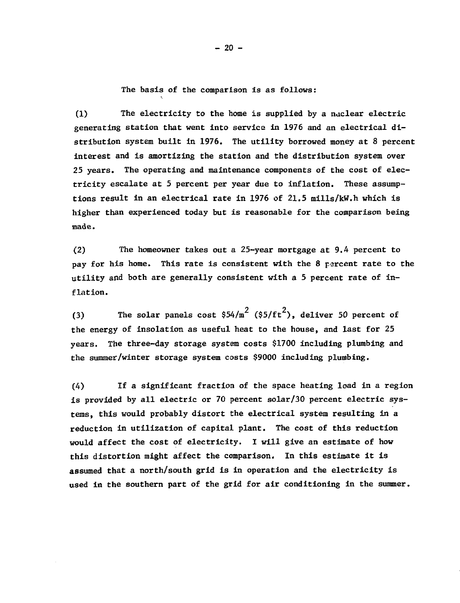The basis of the comparison is as follows:

(1) The electricity to the home is supplied by a naclear electric generating station that went into service in 1976 and an electrical distribution system built in 1976. The utility borrowed money at 8 percent interest and is amortizing the station and the distribution system over 25 years. The operating and maintenance components of the cost of electricity escalate at 5 percent per year due to inflation. These assumptions result in an electrical rate in 1976 of 21.5 mills/kW.h which is higher than experienced today but is reasonable for the comparison being made.

(2) The homeowner takes out a 25-year mortgage at 9.4 percent to pay for his home. This rate is consistent with the 8 percent rate to the utility and both are generally consistent with a 5 percent rate of inflation.

(3) The solar panels cost  $$54/m^2$  ( $$5/ft^2$ ), deliver 50 percent of the energy of insolation as useful heat to the house, and last for 25 years. The three-day storage system costs \$1700 including plumbing and the summer/winter storage system costs \$9000 including plumbing.

(4) If a significant fraction of the space heating load in a region is provided by all electric or 70 percent solar/30 percent electric systems, this would probably distort the electrical system resulting in a reduction in utilization of capital plant. The cost of this reduction would affect the cost of electricity. I will give an estimate of how this distortion might affect the comparison. In this estimate it is assumed that a north/south grid is in operation and the electricity is used in the southern part of the grid for air conditioning in the summer.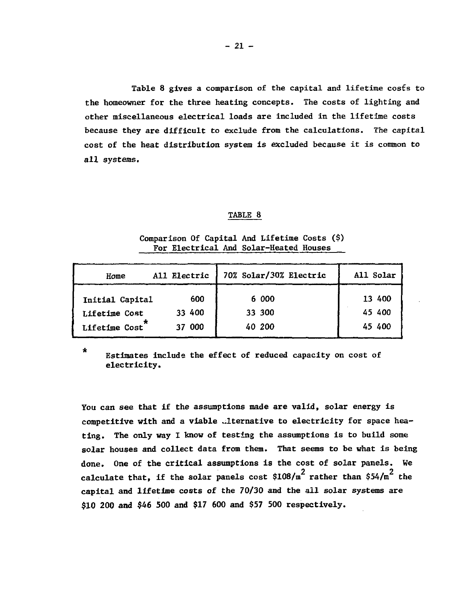Table 8 gives a comparison of the capital and lifetime costs to the homeowner for the three heating concepts. The costs of lighting and other miscellaneous electrical loads are included in the lifetime costs because they are difficult to exclude from the calculations. The capital cost of the heat distribution system is excluded because it is common to all systems.

#### TABLE 8

| Home            | All Electric | 70% Solar/30% Electric | All Solar |
|-----------------|--------------|------------------------|-----------|
| Initial Capital | 600          | 6 000                  | 13 400    |
| Lifetime Cost   | 33 400       | 33 300                 | 45 400    |
| Lifetime Cost   | 37 000       | 40 200                 | 45 400    |

Comparison Of Capital And Lifetime Costs (\$) For Electrical And Solar-Heated Houses

 $\star$ 

Estimates include the effect of reduced capacity on cost of electricity.

You can see that if the assumptions made are valid, solar energy is competitive with and a viable diternative to electricity for space heating. The only way I know of testing the assumptions is to build some solar houses and collect data from them. That seems to be what is being done. One of the critical assumptions is the cost of solar panels. We calculate that, if the solar panels cost  $$108/\mathrm{m}^2$  rather than  $$54/\mathrm{m}^2$  the capital and lifetime costs of the 70/30 and the all solar systems are  $S10$  200 and \$46 500 and \$17 600 and \$57 500 respectively.  $\mathbf{10}$  200  $\mathbf{10}$  and  $\mathbf{17}$  600  $\mathbf{10}$  for spectrum  $\mathbf{10}$  and  $\mathbf{10}$   $\mathbf{10}$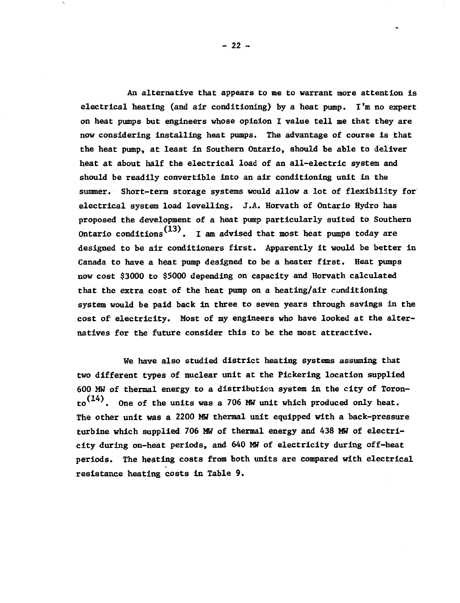**An alternative that appears to me to warrant more attention is electrical heating (and air conditioning) by a heat pump. I'm no expert on heat pumps but engineers whose opinion I value tell me that they are now considering installing heat pumps. The advantage of course is that the heat pump, at least in Southern Ontario, should be able to deliver heat at about half the electrical load of an all-electric system and should be readily convertible into an air conditioning unit in the summer. Short-term storage systems would allow a lot of flexibility for' electrical system load levelling. J.A. Horvath of Ontario Hydro has proposed the development of a heat pump particularly suited to Southern (13) Ontario conditions . I am advised that most heat pumps today are designed to be air conditioners first. Apparently it would be better in Canada to have a heat pump designed to be a heater first. Heat pumps now cost \$3000 to \$5000 depending on capacity and Horvath calculated that the extra cost of the heat pump on a heating/air conditioning system would be paid back In three to seven years through savings in the cost of' electricity. Most of my engineers who have looked at the alternatives for the future consider this to be the most attractive.**

**We have also studied district heating systems assuming that two different types of nuclear unit at the Pickering location supplied 600 MW of thermal energy to a distribution system in the city of Toron**to<sup>(14)</sup>. One of the units was a 706 MW unit which produced only heat. **The other unit was a 2200 MW thermal unit equipped with a back-pressure** turbine which supplied 706 MW of thermal energy and 438 MW of electricity during on-heat periods, and 640 MW of electricity during off-heat **periods. The heating costs from both units are compared with electrical resistance heating costs in Table 9.**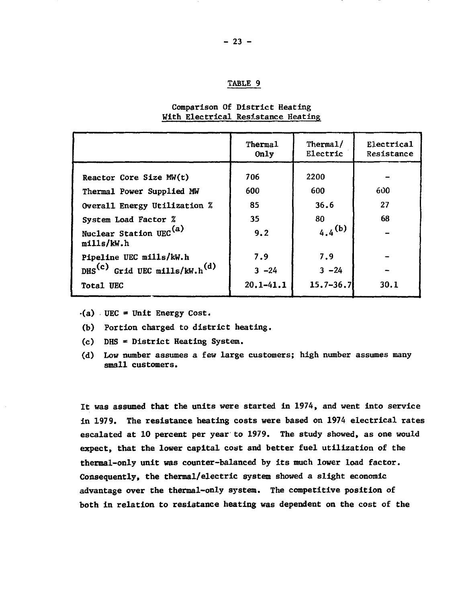|                                                           | Thermal<br>0n1y | Thermal/<br>Electric | Electrical<br>Resistance |
|-----------------------------------------------------------|-----------------|----------------------|--------------------------|
| Reactor Core Size MW(t)                                   | 706             | 2200                 |                          |
| Thermal Power Supplied MW<br>Overall Energy Utilization % | 600<br>85       | 600<br>36.6          | 600<br>27                |
| System Load Factor %                                      | 35              | 80                   | 68                       |
| Nuclear Station UEC <sup>(a)</sup><br>mills/kW.h          | 9.2             | $4.4^{(b)}$          |                          |
| Pipeline UEC mills/kW.h                                   | 7.9             | 7.9                  |                          |
| DHS <sup>(c)</sup> Grid UEC mills/kW.h <sup>(d)</sup>     | $3 - 24$        | $3 - 24$             |                          |
| Total UEC                                                 | $20.1 - 41.1$   | $15.7 - 36.7$        | 30.1                     |

#### **Comparison Of District Heating With Electrical Resistance Heating**

- **•(a) UEC = Unit Energy Cost.**
- **(b) Portion charged to district heating.**
- **(c) DHS District Heating System.**
- **(d) Low number assumes a few large customers; high number assumes many small customers.**

**It was assumed that the units were started in 1974, and went into service in 1979. The resistance heating costs were based on 1974 electrical rates escalated at 10 percent per year to 1979. The study showed, as one would expect, that the lower capital cost and better fuel utilization of the thermal-only unit was counter-balanced by its much lower load factor. Consequently, the thermal/electric system showed a slight economic advantage over the thermal-only system. The competitive position of both in relation to resistance heating was dependent on the cost of the**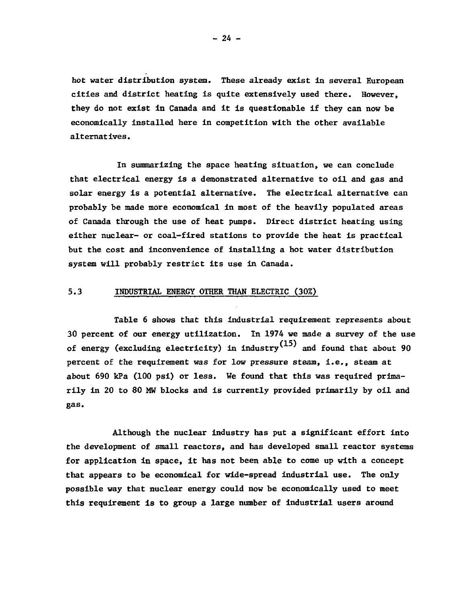hot water distribution system. These already exist In several European cities and district heating is quite extensively used there. However, they do not exist in Canada and it is questionable if they can now be economically installed here in competition with the other available alternatives.

In summarizing the space heating situation, we can conclude that electrical energy is a demonstrated alternative to oil and gas and solar energy is a potential alternative. The electrical alternative can probably be made more economical in most of the heavily populated areas of Canada through the use of heat pumps. Direct district heating using either nuclear- or coal-fired stations to provide the heat is practical but the cost and inconvenience of installing a hot water distribution system will probably restrict its use in Canada.

## 5.3 INDUSTRIAL ENERGY OTHER THAN ELECTRIC (30%)

Table 6 shows that this industrial requirement represents about 30 percent of our energy utilization. In 1974 we made a survey of the use of energy (excluding electricity) in industry  $(15)$  and found that about 90 percent of the requirement was for low pressure steam, i.e., steam at about 690 kPa (100 psi) or less. We found that this was required primarily in 20 to 80 MW blocks and is currently provided primarily by oil and gas.

Although the nuclear industry has put a significant effort into the development of small reactors, and has developed small reactor systems for application in space, it has not been able to come up with a concept that appears to be economical for wide-spread industrial use. The only possible way that nuclear energy could now be economically used to meet this requirement is to group a large number of industrial users around

 $- 24 -$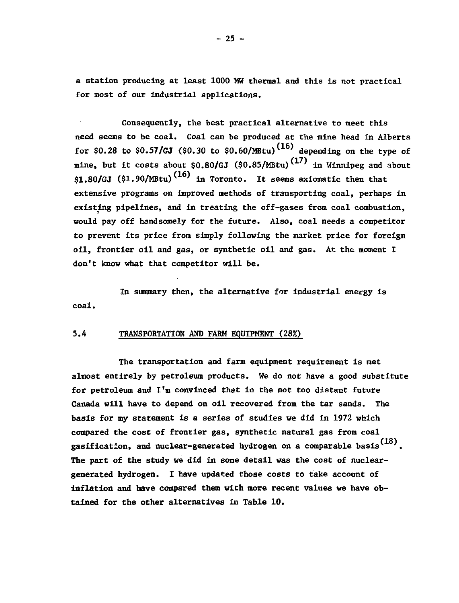**a station producing at least 1000 MW thermal and this is not practical for most of our industrial applications.**

**Consequently, the best practical alternative to meet this need seems to be coal. Coal can be produced at the mine head in Alberta for \$0.28 to \$0.57/GJ (\$0.30 to \$0.60/MBtu)^<sup>16</sup>^ depending on the type of mine, but it costs about \$0.80/GJ (\$0.85/MBtu)'<sup>1</sup> ' in Winnipeg and about**  $$1.80/GJ$  (\$1.90/MBtu)<sup>(16)</sup> in Toronto. It seems axiomatic then that **extensive programs on improved methods of transporting coal, perhaps in existing pipelines, and in treating the off-gases from coal combustion, would pay off handsomely for the future. Also, coal needs a competitor to prevent its price from simply following the market price for foreign oil, frontier oil and gas, or synthetic oil and gas. At the moment I don't know what that competitor will be.**

**In summary then, the alternative for industrial energy is coal.**

#### **5.4 TRANSPORTATION AND FARM EQUIPMENT (28%)**

**The transportation and farm equipment requirement is met almost entirely by petroleum products. We do not have a good substitute for petroleum and I'm convinced that in the not too distant future Canada will have to depend on oil recovered from the tar sands. The basis for my statement is a series of studies we did in 1972 which compared the cost of frontier gas, synthetic natural gas from coal** gasification, and nuclear-generated hydrogen on a comparable basis<sup>(18)</sup>. **The part of the study we did in some detail was the cost of nucleargenerated hydrogen. I have updated those costs to take account of inflation and have compared them with more recent values we have obtained for the other alternatives in Table 10.**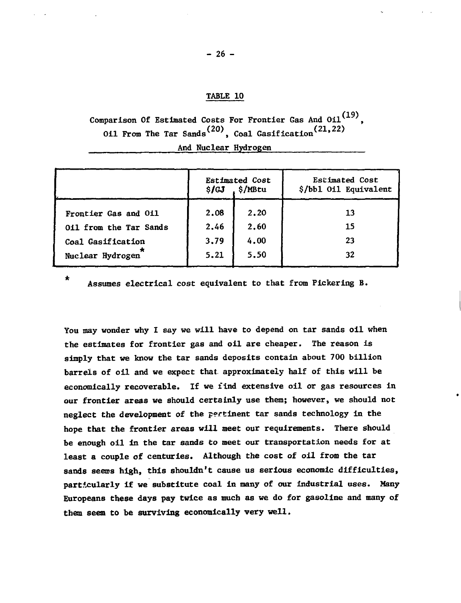# **TABLE 10**

**Comparison Of Estimated Costs For Frontier Gas And Oil (19) Oil From The Tar Sands(20), Coal Gasification\*<sup>21</sup>' 22) And Nuclear Hydrogen**

|                        | <b>Estimated Cost</b><br>. \$/MBtu<br>\$/GJ |      | Estimated Cost<br>\$/bb1 Oil Equivalent |
|------------------------|---------------------------------------------|------|-----------------------------------------|
| Frontier Gas and Oil   | 2.08                                        | 2.20 | 13                                      |
| 011 from the Tar Sands | 2.46                                        | 2.60 | 15                                      |
| Coal Gasification      | 3.79                                        | 4.00 | 23                                      |
| Nuclear Hydrogen       | 5.21                                        | 5.50 | 32                                      |

 $\bullet$ 

**Assumes electrical cost equivalent to that from Pickering B.**

**You may wonder why I say we will have to depend on tar sands oil when the estimates for frontier gas and oil are cheaper. The reason is simply that we know the tar sands deposits contain about 700 billion barrels of oil and we expect that, approximately half of this will be economically recoverable. If we find extensive oil or gas resources in our frontier areas we should certainly use them; however, we should not neglect the development of the pertinent tar sands technology in the hope that the frontier areas will meet our requirements. There should be enough oil in the tar sands to meet our transportation needs for at least a couple of centuries. Although the cost of oil from the tar sands seems high, this shouldn't cause us serious economic difficulties, particularly if we substitute coal in many of our industrial uses. Many Europeans these days pay twice as much as we do for gasoline and many of them seem to be surviving economically very well.**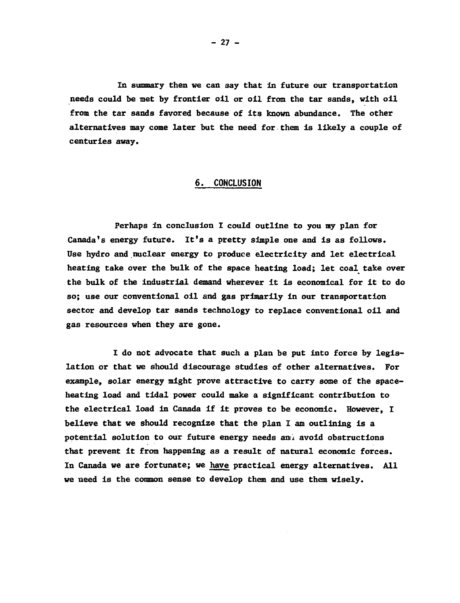**In summary then we can say that in future our transportation needs could be net by frontier oil or oil from the tar sands, with oil from the tar sands favored because of its known abundance. The other alternatives may come later but the need for them is likely a couple of centuries away.**

#### **6. CONCLUSION**

**Perhaps in conclusion I could outline to you my plan for Canada's energy future. It's a pretty simple one and is as follows. Use hydro and nuclear energy to produce electricity and let electrical heating take over the bulk of the space heating load; let coal take over the bulk of the industrial demand wherever it is economical for it to do so; use our conventional oil and gas primarily in our transportation sector and develop tar sands technology to replace conventional oil and gas resources when they are gone.**

**I do not advocate that such a plan be put into force by legislation or that we should discourage studies of other alternatives. For example, solar energy might prove attractive to carry some of the spaceheating load and tidal power could make a significant contribution to the electrical load in Canada if it proves to be economic. However, I believe that we should recognize that the plan I am outlining is a potential solution to our future energy needs ami avoid obstructions that prevent it from happening as a result of natural economic forces. In Canada we are fortunate; we have practical energy alternatives. All we need is the common sense to develop them and use them wisely.**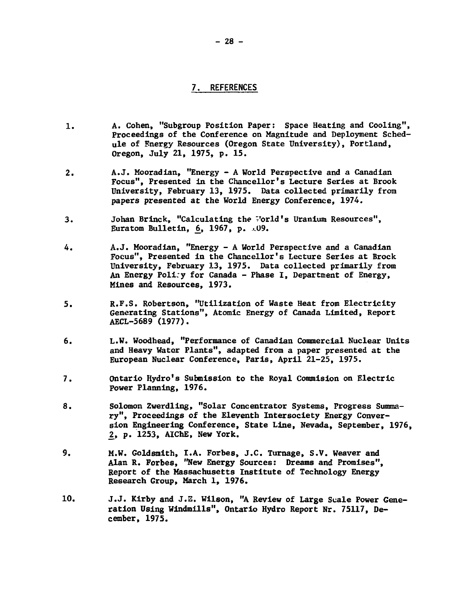# **7. REFERENCES**

- **1. A. Cohen, "Subgroup Position Paper: Space Heating and Cooling", Proceedings of the Conference on Magnitude and Deployment Schedule of Energy Resources (Oregon State University), Portland, Oregon, July 21, 1975, p. 15.**
- **2. A.J. Mooradian, "Energy A World Perspective and a Canadian Focus", Presented in the Chancellor's Lecture Series at Brook University, February 13, 1975. Data collected primarily from papers presented at the World Energy Conference, 1974.**
- **3. Johan Brinck, "Calculating the T'orld's Uranium Resources", Euratom Bulletin, 6, 1967, p. .09.**
- **4. À.J. Mooradian, "Energy A World Perspective and a Canadian Focus", Presented in the Chancellor's Lecture Series at Brock University, February 13, 1975. Data collected primarily from An Energy Poli;y for Canada - Phase I, Department of Energy, Mines and Resources, 1973.**
- **5. R.F.S. Robertson, "Utilization of Waste Heat from Electricity Generating Stations", Atomic Energy of Canada Limited, Report AECL-5689 (1977).**
- **6. L.W. Woodhead, "Performance of Canadian Commercial Nuclear Units and Heavy Water Plants", adapted from a paper presented at the European Nuclear Conference, Paris, April 21-25, 1975.**
- **7. Ontario Hydro's Submission to the Royal Commision on Electric Power Planning, 1976.**
- **8. Solomon Zwerdling, "Solar Concentrator Systems, Progress Summary", Proceedings of the Eleventh Intersociety Energy Conversion Engineering Conference, State Line, Nevada, September, 1976, 2, p. 1253, AIChE, New York.**
- **9. M.W. Goldsmith, I.A. Forbes, J.C. Turnage, S.V. Weaver and Alan R. Forbes, "New Energy Sources: Dreams and Promises", Report of the Massachusetts Institute of Technology Energy Research Group, March 1, 1976.**
- **10. J.J. Kirby and J.E. Wilson, "A Review of Large Scale Power Generation Using Windmills", Ontario Hydro Report Nr. 75117, December, 1975.**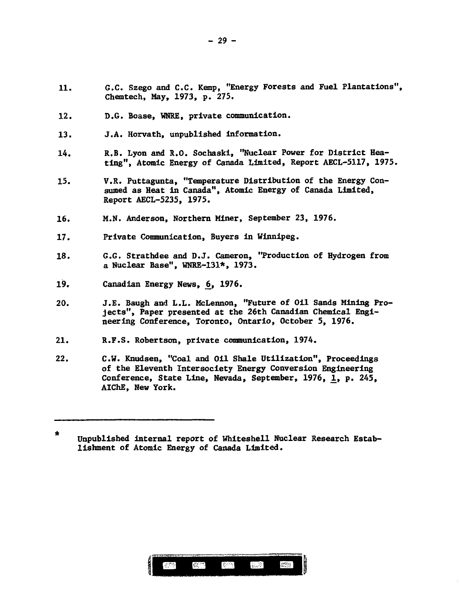- **11. G.C. Szego and C.C. Kemp, "Energy Forests and Fuel Plantations", Chemtech, May, 1973, p. 275.**
- 12. D.G. Boase, WNRE, private communication.
- **13. J.A. Horvath, unpublished information.**
- **14. R.B. Lyon and R.O. Sochaski, "Nuclear Power for District Heating", Atomic Energy of Canada Limited, Report AECL-5117, 1975.**
- **15. V.R. Puttagunta, "Temperature Distribution of the Energy Consumed as Heat in Canada", Atomic Energy of Canada Limited, Report AECL-5235, 1975.**
- **16. M.N. Anderson, Northern Miner, September 23, 1976.**
- **17. Private Communication, Buyers in Winnipeg.**
- **18. 6.G. Strathdee and D.J. Cameron, "Production of Hydrogen from a Nuclear Base", WNRE-131\*. 1973.**
- 19. Canadian Energy News, 6, 1976.
- **20. J.E. Baugh and L.L. McLennon, "Future of Oil Sands Mining Projects", Paper presented at the 26th Canadian Chemical Engineering Conference, Toronto, Ontario, October 5, 1976.**
- **21. R.F.S. Robertson, private communication, 1974.**
- **22. C.W. Knudsen, "Coal and Oil Shale Utilization", Proceedings of the Eleventh Intersociety Energy Conversion Engineering Conference, State Line, Nevada, September, 1976, 1, p. 245, AIChE, New York.**



 $\star$ **Unpublished internal report of Whiteshell Nuclear Research Establishment of Atomic Energy of Canada Limited.**